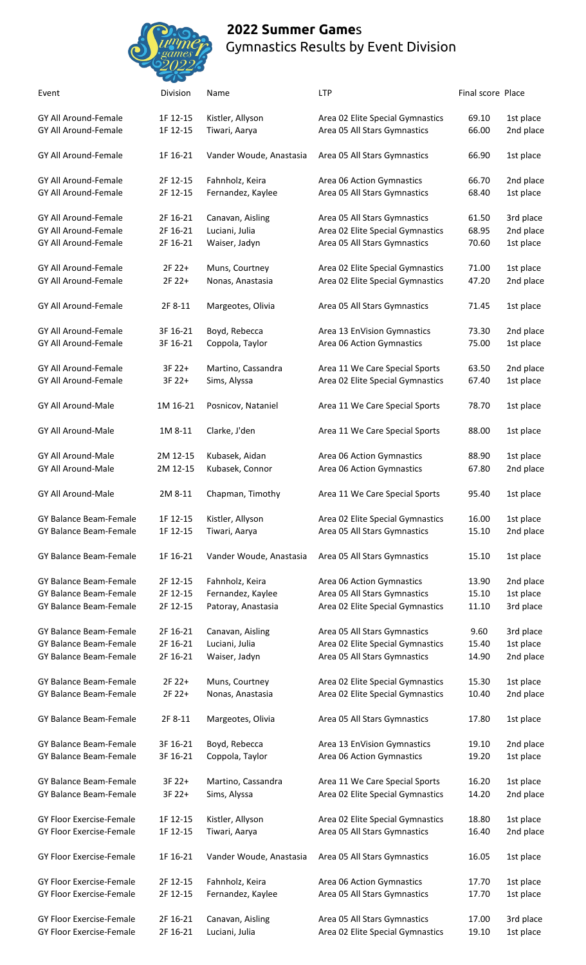## **2022 Summer Game**s Gymnastics Results by Event Division



| Event                           | Division | Name                    | <b>LTP</b>                       | Final score Place |           |
|---------------------------------|----------|-------------------------|----------------------------------|-------------------|-----------|
| GY All Around-Female            | 1F 12-15 | Kistler, Allyson        | Area 02 Elite Special Gymnastics | 69.10             | 1st place |
| GY All Around-Female            | 1F 12-15 | Tiwari, Aarya           | Area 05 All Stars Gymnastics     | 66.00             | 2nd place |
| GY All Around-Female            | 1F 16-21 | Vander Woude, Anastasia | Area 05 All Stars Gymnastics     | 66.90             | 1st place |
| <b>GY All Around-Female</b>     | 2F 12-15 | Fahnholz, Keira         | Area 06 Action Gymnastics        | 66.70             | 2nd place |
| GY All Around-Female            | 2F 12-15 | Fernandez, Kaylee       | Area 05 All Stars Gymnastics     | 68.40             | 1st place |
| GY All Around-Female            | 2F 16-21 | Canavan, Aisling        | Area 05 All Stars Gymnastics     | 61.50             | 3rd place |
| GY All Around-Female            | 2F 16-21 | Luciani, Julia          | Area 02 Elite Special Gymnastics | 68.95             | 2nd place |
| GY All Around-Female            | 2F 16-21 | Waiser, Jadyn           | Area 05 All Stars Gymnastics     | 70.60             | 1st place |
| GY All Around-Female            | 2F 22+   | Muns, Courtney          | Area 02 Elite Special Gymnastics | 71.00             | 1st place |
| GY All Around-Female            | 2F 22+   | Nonas, Anastasia        | Area 02 Elite Special Gymnastics | 47.20             | 2nd place |
| <b>GY All Around-Female</b>     | 2F 8-11  | Margeotes, Olivia       | Area 05 All Stars Gymnastics     | 71.45             | 1st place |
| <b>GY All Around-Female</b>     | 3F 16-21 | Boyd, Rebecca           | Area 13 EnVision Gymnastics      | 73.30             | 2nd place |
| GY All Around-Female            | 3F 16-21 | Coppola, Taylor         | Area 06 Action Gymnastics        | 75.00             | 1st place |
| GY All Around-Female            | 3F 22+   | Martino, Cassandra      | Area 11 We Care Special Sports   | 63.50             | 2nd place |
| GY All Around-Female            | 3F 22+   | Sims, Alyssa            | Area 02 Elite Special Gymnastics | 67.40             | 1st place |
| GY All Around-Male              | 1M 16-21 | Posnicov, Nataniel      | Area 11 We Care Special Sports   | 78.70             | 1st place |
| GY All Around-Male              | 1M 8-11  | Clarke, J'den           | Area 11 We Care Special Sports   | 88.00             | 1st place |
| GY All Around-Male              | 2M 12-15 | Kubasek, Aidan          | Area 06 Action Gymnastics        | 88.90             | 1st place |
| GY All Around-Male              | 2M 12-15 | Kubasek, Connor         | Area 06 Action Gymnastics        | 67.80             | 2nd place |
| GY All Around-Male              | 2M 8-11  | Chapman, Timothy        | Area 11 We Care Special Sports   | 95.40             | 1st place |
| GY Balance Beam-Female          | 1F 12-15 | Kistler, Allyson        | Area 02 Elite Special Gymnastics | 16.00             | 1st place |
| GY Balance Beam-Female          | 1F 12-15 | Tiwari, Aarya           | Area 05 All Stars Gymnastics     | 15.10             | 2nd place |
| GY Balance Beam-Female          | 1F 16-21 | Vander Woude, Anastasia | Area 05 All Stars Gymnastics     | 15.10             | 1st place |
| GY Balance Beam-Female          | 2F 12-15 | Fahnholz, Keira         | Area 06 Action Gymnastics        | 13.90             | 2nd place |
| GY Balance Beam-Female          | 2F 12-15 | Fernandez, Kaylee       | Area 05 All Stars Gymnastics     | 15.10             | 1st place |
| GY Balance Beam-Female          | 2F 12-15 | Patoray, Anastasia      | Area 02 Elite Special Gymnastics | 11.10             | 3rd place |
| GY Balance Beam-Female          | 2F 16-21 | Canavan, Aisling        | Area 05 All Stars Gymnastics     | 9.60              | 3rd place |
| GY Balance Beam-Female          | 2F 16-21 | Luciani, Julia          | Area 02 Elite Special Gymnastics | 15.40             | 1st place |
| GY Balance Beam-Female          | 2F 16-21 | Waiser, Jadyn           | Area 05 All Stars Gymnastics     | 14.90             | 2nd place |
| GY Balance Beam-Female          | 2F 22+   | Muns, Courtney          | Area 02 Elite Special Gymnastics | 15.30             | 1st place |
| GY Balance Beam-Female          | 2F 22+   | Nonas, Anastasia        | Area 02 Elite Special Gymnastics | 10.40             | 2nd place |
| GY Balance Beam-Female          | 2F 8-11  | Margeotes, Olivia       | Area 05 All Stars Gymnastics     | 17.80             | 1st place |
| GY Balance Beam-Female          | 3F 16-21 | Boyd, Rebecca           | Area 13 EnVision Gymnastics      | 19.10             | 2nd place |
| GY Balance Beam-Female          | 3F 16-21 | Coppola, Taylor         | Area 06 Action Gymnastics        | 19.20             | 1st place |
| GY Balance Beam-Female          | 3F 22+   | Martino, Cassandra      | Area 11 We Care Special Sports   | 16.20             | 1st place |
| GY Balance Beam-Female          | 3F 22+   | Sims, Alyssa            | Area 02 Elite Special Gymnastics | 14.20             | 2nd place |
| GY Floor Exercise-Female        | 1F 12-15 | Kistler, Allyson        | Area 02 Elite Special Gymnastics | 18.80             | 1st place |
| GY Floor Exercise-Female        | 1F 12-15 | Tiwari, Aarya           | Area 05 All Stars Gymnastics     | 16.40             | 2nd place |
| <b>GY Floor Exercise-Female</b> | 1F 16-21 | Vander Woude, Anastasia | Area 05 All Stars Gymnastics     | 16.05             | 1st place |
|                                 |          |                         |                                  |                   |           |
| GY Floor Exercise-Female        | 2F 12-15 | Fahnholz, Keira         | Area 06 Action Gymnastics        | 17.70             | 1st place |
| GY Floor Exercise-Female        | 2F 12-15 | Fernandez, Kaylee       | Area 05 All Stars Gymnastics     | 17.70             | 1st place |
| GY Floor Exercise-Female        | 2F 16-21 | Canavan, Aisling        | Area 05 All Stars Gymnastics     | 17.00             | 3rd place |
| GY Floor Exercise-Female        | 2F 16-21 | Luciani, Julia          | Area 02 Elite Special Gymnastics | 19.10             | 1st place |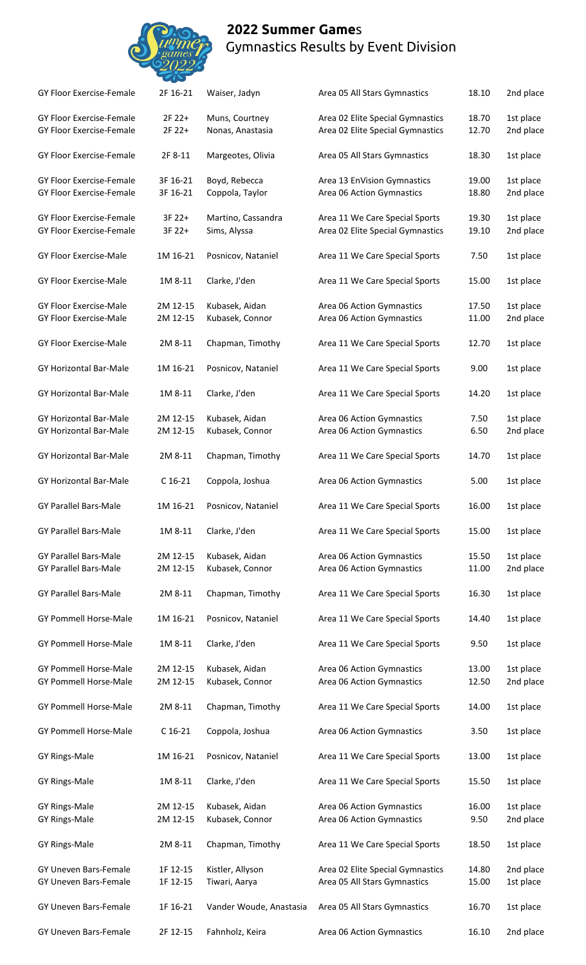## **2022 Summer Game**s Gymnastics Results by Event Division



| <b>GY Floor Exercise-Female</b>                              | 2F 16-21             | Waiser, Jadyn                      | Area 05 All Stars Gymnastics                                         | 18.10          | 2nd place              |
|--------------------------------------------------------------|----------------------|------------------------------------|----------------------------------------------------------------------|----------------|------------------------|
| <b>GY Floor Exercise-Female</b><br>GY Floor Exercise-Female  | 2F 22+<br>2F 22+     | Muns, Courtney<br>Nonas, Anastasia | Area 02 Elite Special Gymnastics<br>Area 02 Elite Special Gymnastics | 18.70<br>12.70 | 1st place<br>2nd place |
| GY Floor Exercise-Female                                     | 2F 8-11              | Margeotes, Olivia                  | Area 05 All Stars Gymnastics                                         | 18.30          | 1st place              |
| GY Floor Exercise-Female<br>GY Floor Exercise-Female         | 3F 16-21<br>3F 16-21 | Boyd, Rebecca<br>Coppola, Taylor   | Area 13 EnVision Gymnastics<br>Area 06 Action Gymnastics             | 19.00<br>18.80 | 1st place<br>2nd place |
| GY Floor Exercise-Female<br>GY Floor Exercise-Female         | 3F 22+<br>3F 22+     | Martino, Cassandra<br>Sims, Alyssa | Area 11 We Care Special Sports<br>Area 02 Elite Special Gymnastics   | 19.30<br>19.10 | 1st place<br>2nd place |
| GY Floor Exercise-Male                                       | 1M 16-21             | Posnicov, Nataniel                 | Area 11 We Care Special Sports                                       | 7.50           | 1st place              |
| <b>GY Floor Exercise-Male</b>                                | 1M 8-11              | Clarke, J'den                      | Area 11 We Care Special Sports                                       | 15.00          | 1st place              |
| GY Floor Exercise-Male<br>GY Floor Exercise-Male             | 2M 12-15<br>2M 12-15 | Kubasek, Aidan<br>Kubasek, Connor  | Area 06 Action Gymnastics<br>Area 06 Action Gymnastics               | 17.50<br>11.00 | 1st place<br>2nd place |
| GY Floor Exercise-Male                                       | 2M 8-11              | Chapman, Timothy                   | Area 11 We Care Special Sports                                       | 12.70          | 1st place              |
| GY Horizontal Bar-Male                                       | 1M 16-21             | Posnicov, Nataniel                 | Area 11 We Care Special Sports                                       | 9.00           | 1st place              |
| GY Horizontal Bar-Male                                       | 1M 8-11              | Clarke, J'den                      | Area 11 We Care Special Sports                                       | 14.20          | 1st place              |
| GY Horizontal Bar-Male<br>GY Horizontal Bar-Male             | 2M 12-15<br>2M 12-15 | Kubasek, Aidan<br>Kubasek, Connor  | Area 06 Action Gymnastics<br>Area 06 Action Gymnastics               | 7.50<br>6.50   | 1st place<br>2nd place |
| <b>GY Horizontal Bar-Male</b>                                | 2M 8-11              | Chapman, Timothy                   | Area 11 We Care Special Sports                                       | 14.70          | 1st place              |
| GY Horizontal Bar-Male                                       | $C$ 16-21            | Coppola, Joshua                    | Area 06 Action Gymnastics                                            | 5.00           | 1st place              |
| <b>GY Parallel Bars-Male</b>                                 | 1M 16-21             | Posnicov, Nataniel                 | Area 11 We Care Special Sports                                       | 16.00          | 1st place              |
| <b>GY Parallel Bars-Male</b>                                 | 1M 8-11              | Clarke, J'den                      | Area 11 We Care Special Sports                                       | 15.00          | 1st place              |
| <b>GY Parallel Bars-Male</b><br><b>GY Parallel Bars-Male</b> | 2M 12-15<br>2M 12-15 | Kubasek, Aidan<br>Kubasek, Connor  | Area 06 Action Gymnastics<br>Area 06 Action Gymnastics               | 15.50<br>11.00 | 1st place<br>2nd place |
| <b>GY Parallel Bars-Male</b>                                 | 2M 8-11              | Chapman, Timothy                   | Area 11 We Care Special Sports                                       | 16.30          | 1st place              |
| <b>GY Pommell Horse-Male</b>                                 | 1M 16-21             | Posnicov, Nataniel                 | Area 11 We Care Special Sports                                       | 14.40          | 1st place              |
| GY Pommell Horse-Male                                        | 1M 8-11              | Clarke, J'den                      | Area 11 We Care Special Sports                                       | 9.50           | 1st place              |
| <b>GY Pommell Horse-Male</b><br>GY Pommell Horse-Male        | 2M 12-15<br>2M 12-15 | Kubasek, Aidan<br>Kubasek, Connor  | Area 06 Action Gymnastics<br>Area 06 Action Gymnastics               | 13.00<br>12.50 | 1st place<br>2nd place |
| GY Pommell Horse-Male                                        | 2M 8-11              | Chapman, Timothy                   | Area 11 We Care Special Sports                                       | 14.00          | 1st place              |
| <b>GY Pommell Horse-Male</b>                                 | $C$ 16-21            | Coppola, Joshua                    | Area 06 Action Gymnastics                                            | 3.50           | 1st place              |
| GY Rings-Male                                                | 1M 16-21             | Posnicov, Nataniel                 | Area 11 We Care Special Sports                                       | 13.00          | 1st place              |
| GY Rings-Male                                                | 1M 8-11              | Clarke, J'den                      | Area 11 We Care Special Sports                                       | 15.50          | 1st place              |
| GY Rings-Male<br>GY Rings-Male                               | 2M 12-15<br>2M 12-15 | Kubasek, Aidan<br>Kubasek, Connor  | Area 06 Action Gymnastics<br>Area 06 Action Gymnastics               | 16.00<br>9.50  | 1st place<br>2nd place |
| GY Rings-Male                                                | 2M 8-11              | Chapman, Timothy                   | Area 11 We Care Special Sports                                       | 18.50          | 1st place              |
| <b>GY Uneven Bars-Female</b><br><b>GY Uneven Bars-Female</b> | 1F 12-15<br>1F 12-15 | Kistler, Allyson<br>Tiwari, Aarya  | Area 02 Elite Special Gymnastics<br>Area 05 All Stars Gymnastics     | 14.80<br>15.00 | 2nd place<br>1st place |
| GY Uneven Bars-Female                                        | 1F 16-21             | Vander Woude, Anastasia            | Area 05 All Stars Gymnastics                                         | 16.70          | 1st place              |
| GY Uneven Bars-Female                                        | 2F 12-15             | Fahnholz, Keira                    | Area 06 Action Gymnastics                                            | 16.10          | 2nd place              |